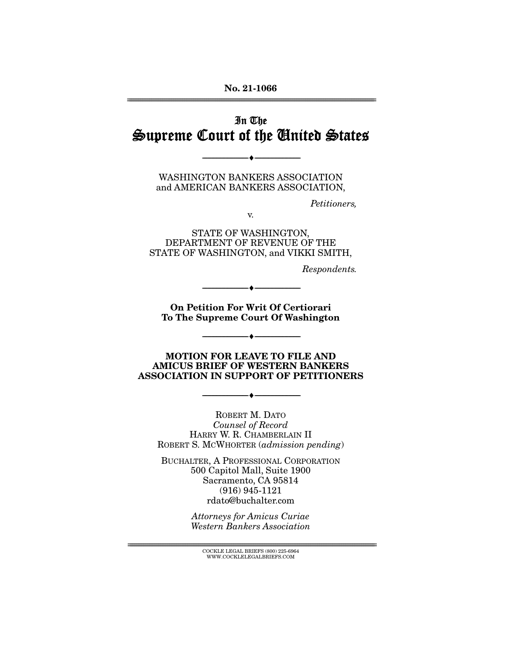#### **No. 21-1066**  ================================================================================================================

### In The Supreme Court of the United States

WASHINGTON BANKERS ASSOCIATION and AMERICAN BANKERS ASSOCIATION,

--------------------------------- ♦ ---------------------------------

Petitioners,

v.

STATE OF WASHINGTON, DEPARTMENT OF REVENUE OF THE STATE OF WASHINGTON, and VIKKI SMITH,

Respondents.

**On Petition For Writ Of Certiorari Outerment Country Constructs To The Supreme Court Of Washington** 

--------------------------------- ♦ ---------------------------------

 $\overbrace{\hspace{15mm}}$   $\overbrace{\hspace{15mm}}$ 

**MOTION FOR LEAVE TO FILE AND ASSOCIATION IN SUPPORT OF PETITIONERS ASSOCIATION IN SUPPORT OF PETITIONERS** 

--------------------------------- ♦ ---------------------------------

ROBERT M. DATO Counsel of Record HARRY W. R. CHAMBERLAIN II ROBERT S. MCWHORTER (admission pending)

BUCHALTER, A PROFESSIONAL CORPORATION 500 Capitol Mall, Suite 1900 Sacramento, CA 95814 (916) 945-1121 rdato@buchalter.com

> Attorneys for Amicus Curiae Western Bankers Association

================================================================================================================ COCKLE LEGAL BRIEFS (800) 225-6964 WWW.COCKLELEGALBRIEFS.COM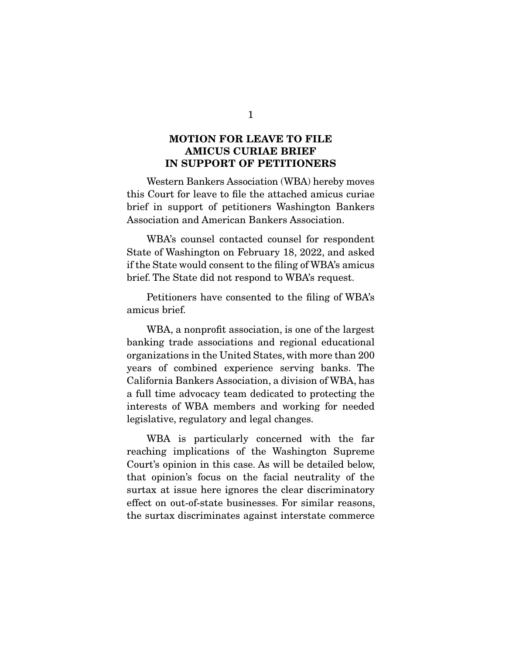## **MOTION FOR LEAVE TO FILE IN SUPPORT OF PETITIONERS IN SUPPORT OF PETITIONERS**

 Western Bankers Association (WBA) hereby moves this Court for leave to file the attached amicus curiae brief in support of petitioners Washington Bankers Association and American Bankers Association.

 WBA's counsel contacted counsel for respondent State of Washington on February 18, 2022, and asked if the State would consent to the filing of WBA's amicus brief. The State did not respond to WBA's request.

 Petitioners have consented to the filing of WBA's amicus brief.

 WBA, a nonprofit association, is one of the largest banking trade associations and regional educational organizations in the United States, with more than 200 years of combined experience serving banks. The California Bankers Association, a division of WBA, has a full time advocacy team dedicated to protecting the interests of WBA members and working for needed legislative, regulatory and legal changes.

 WBA is particularly concerned with the far reaching implications of the Washington Supreme Court's opinion in this case. As will be detailed below, that opinion's focus on the facial neutrality of the surtax at issue here ignores the clear discriminatory effect on out-of-state businesses. For similar reasons, the surtax discriminates against interstate commerce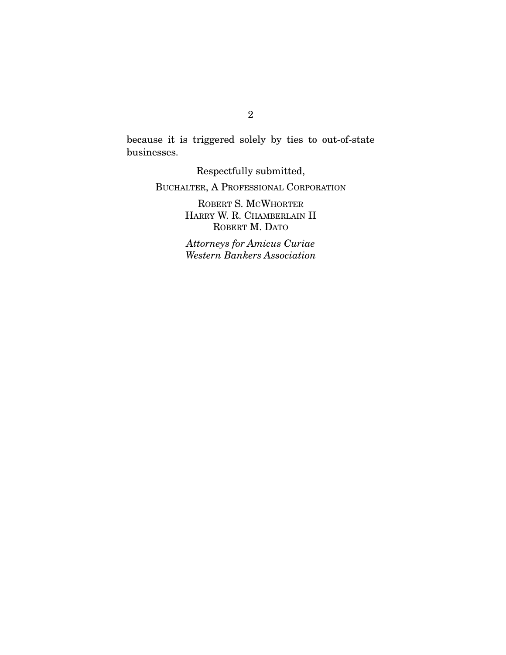because it is triggered solely by ties to out-of-state businesses.

Respectfully submitted,

BUCHALTER, A PROFESSIONAL CORPORATION

ROBERT S. MCWHORTER HARRY W. R. CHAMBERLAIN II ROBERT **M.** DATO

Attorneys for Amicus Curiae Western Bankers Association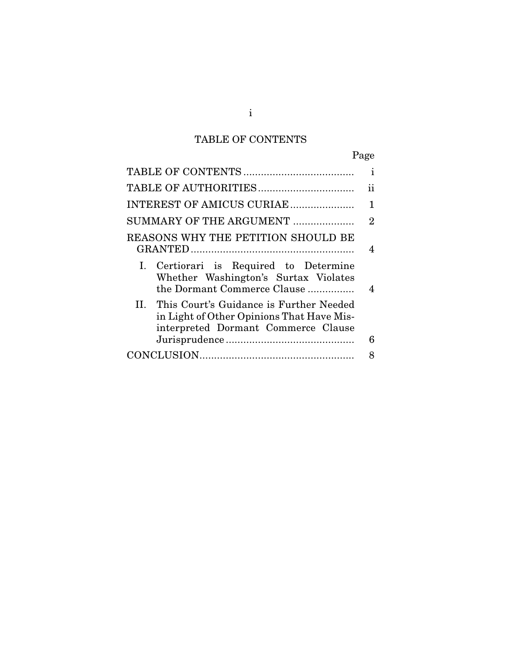## TABLE OF CONTENTS

|                                                                                                                                 | Page           |
|---------------------------------------------------------------------------------------------------------------------------------|----------------|
|                                                                                                                                 | i              |
|                                                                                                                                 | ii             |
| INTEREST OF AMICUS CURIAE                                                                                                       | 1              |
| SUMMARY OF THE ARGUMENT                                                                                                         | $\overline{2}$ |
| REASONS WHY THE PETITION SHOULD BE                                                                                              | 4              |
| I. Certiorari is Required to Determine<br>Whether Washington's Surtax Violates<br>the Dormant Commerce Clause                   | 4              |
| II. This Court's Guidance is Further Needed<br>in Light of Other Opinions That Have Mis-<br>interpreted Dormant Commerce Clause |                |
|                                                                                                                                 | 6              |
|                                                                                                                                 | 8              |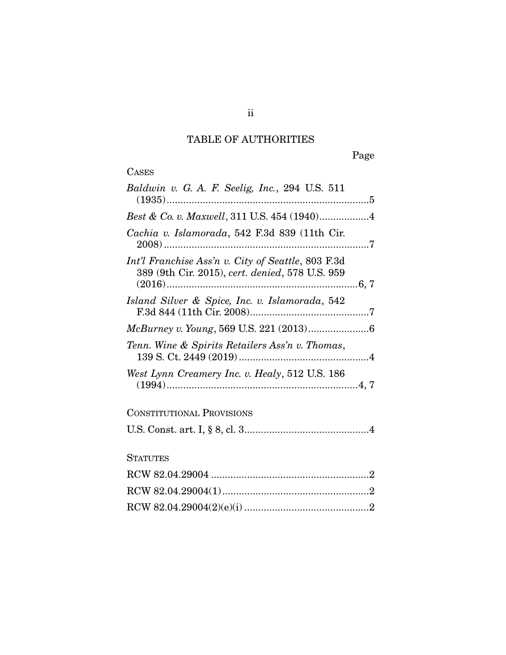## TABLE OF AUTHORITIES

Page

|  | æ<br>U |   |
|--|--------|---|
|  | в.     | ı |

| Baldwin v. G. A. F. Seelig, Inc., 294 U.S. 511                                                        |
|-------------------------------------------------------------------------------------------------------|
| Best & Co. v. Maxwell, 311 U.S. 454 (1940)4                                                           |
| Cachia v. Islamorada, 542 F.3d 839 (11th Cir.                                                         |
| Int'l Franchise Ass'n v. City of Seattle, 803 F.3d<br>389 (9th Cir. 2015), cert. denied, 578 U.S. 959 |
| Island Silver & Spice, Inc. v. Islamorada, 542                                                        |
|                                                                                                       |
| Tenn. Wine & Spirits Retailers Ass'n v. Thomas,                                                       |
| West Lynn Creamery Inc. v. Healy, 512 U.S. 186                                                        |
| <b>CONSTITUTIONAL PROVISIONS</b>                                                                      |
|                                                                                                       |
| <b>STATUTES</b>                                                                                       |
|                                                                                                       |
|                                                                                                       |
|                                                                                                       |

ii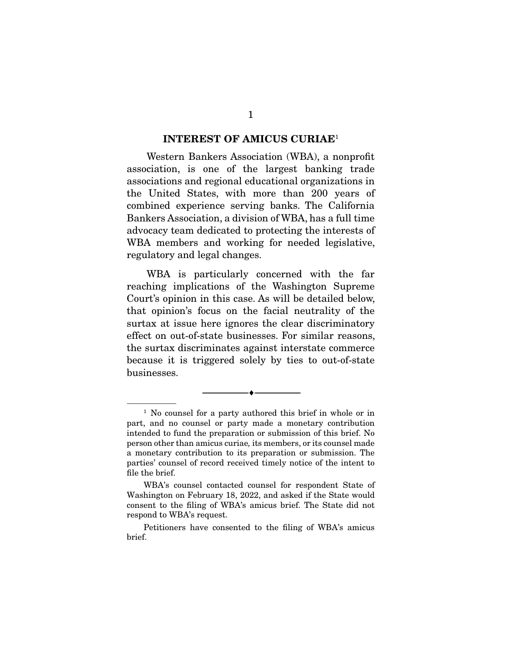#### **INTEREST OF AMICUS CURIAE**<sup>1</sup>

 Western Bankers Association (WBA), a nonprofit association, is one of the largest banking trade associations and regional educational organizations in the United States, with more than 200 years of combined experience serving banks. The California Bankers Association, a division of WBA, has a full time advocacy team dedicated to protecting the interests of WBA members and working for needed legislative, regulatory and legal changes.

 WBA is particularly concerned with the far reaching implications of the Washington Supreme Court's opinion in this case. As will be detailed below, that opinion's focus on the facial neutrality of the surtax at issue here ignores the clear discriminatory effect on out-of-state businesses. For similar reasons, the surtax discriminates against interstate commerce because it is triggered solely by ties to out-of-state businesses.

--------------------------------- ♦ ---------------------------------

<sup>&</sup>lt;sup>1</sup> No counsel for a party authored this brief in whole or in part, and no counsel or party made a monetary contribution intended to fund the preparation or submission of this brief. No person other than amicus curiae, its members, or its counsel made a monetary contribution to its preparation or submission. The parties' counsel of record received timely notice of the intent to file the brief.

WBA's counsel contacted counsel for respondent State of Washington on February 18, 2022, and asked if the State would consent to the filing of WBA's amicus brief. The State did not respond to WBA's request.

Petitioners have consented to the filing of WBA's amicus brief.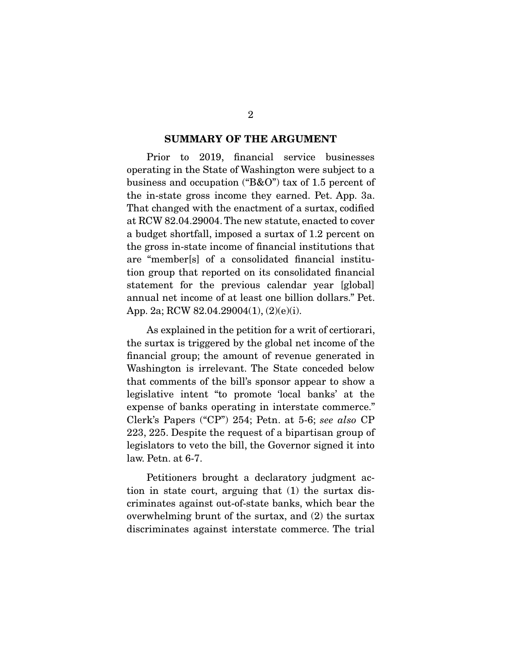# **SUMMARY OF THE ARGUMENT**

 Prior to 2019, financial service businesses operating in the State of Washington were subject to a business and occupation ("B&O") tax of 1.5 percent of the in-state gross income they earned. Pet. App. 3a. That changed with the enactment of a surtax, codified at RCW 82.04.29004. The new statute, enacted to cover a budget shortfall, imposed a surtax of 1.2 percent on the gross in-state income of financial institutions that are "member[s] of a consolidated financial institution group that reported on its consolidated financial statement for the previous calendar year [global] annual net income of at least one billion dollars." Pet. App. 2a; RCW 82.04.29004(1), (2)(e)(i).

 As explained in the petition for a writ of certiorari, the surtax is triggered by the global net income of the financial group; the amount of revenue generated in Washington is irrelevant. The State conceded below that comments of the bill's sponsor appear to show a legislative intent "to promote 'local banks' at the expense of banks operating in interstate commerce." Clerk's Papers ("CP") 254; Petn. at 5-6; see also CP 223, 225. Despite the request of a bipartisan group of legislators to veto the bill, the Governor signed it into law. Petn. at 6-7.

 Petitioners brought a declaratory judgment action in state court, arguing that (1) the surtax discriminates against out-of-state banks, which bear the overwhelming brunt of the surtax, and (2) the surtax discriminates against interstate commerce. The trial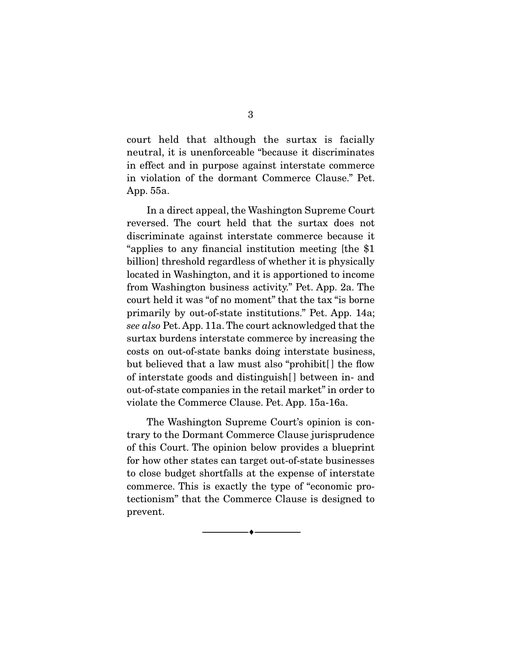court held that although the surtax is facially neutral, it is unenforceable "because it discriminates in effect and in purpose against interstate commerce in violation of the dormant Commerce Clause." Pet. App. 55a.

 In a direct appeal, the Washington Supreme Court reversed. The court held that the surtax does not discriminate against interstate commerce because it "applies to any financial institution meeting [the \$1 billion] threshold regardless of whether it is physically located in Washington, and it is apportioned to income from Washington business activity." Pet. App. 2a. The court held it was "of no moment" that the tax "is borne primarily by out-of-state institutions." Pet. App. 14a; see also Pet. App. 11a. The court acknowledged that the surtax burdens interstate commerce by increasing the costs on out-of-state banks doing interstate business, but believed that a law must also "prohibit. I the flow of interstate goods and distinguish[ ] between in- and out-of-state companies in the retail market" in order to violate the Commerce Clause. Pet. App. 15a-16a.

 The Washington Supreme Court's opinion is contrary to the Dormant Commerce Clause jurisprudence of this Court. The opinion below provides a blueprint for how other states can target out-of-state businesses to close budget shortfalls at the expense of interstate commerce. This is exactly the type of "economic protectionism" that the Commerce Clause is designed to prevent.

--------------------------------- ♦ ---------------------------------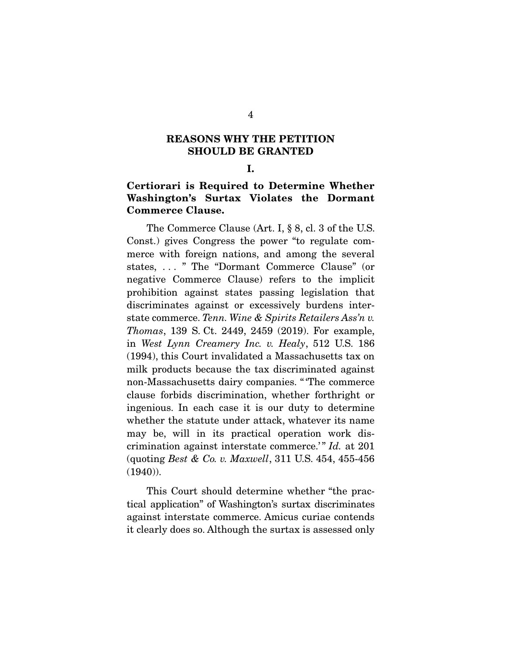# **REASONS WHY THE PETITION SHOULD BE GRANTED**

## **Certiorari is Required to Determine Whether Commerce Clause. Commerce Clause.**

 The Commerce Clause (Art. I, § 8, cl. 3 of the U.S. Const.) gives Congress the power "to regulate commerce with foreign nations, and among the several states, . . . " The "Dormant Commerce Clause" (or negative Commerce Clause) refers to the implicit prohibition against states passing legislation that discriminates against or excessively burdens interstate commerce. Tenn. Wine & Spirits Retailers Ass'n v. Thomas, 139 S. Ct. 2449, 2459 (2019). For example, in West Lynn Creamery Inc. v. Healy, 512 U.S. 186 (1994), this Court invalidated a Massachusetts tax on milk products because the tax discriminated against non-Massachusetts dairy companies. " 'The commerce clause forbids discrimination, whether forthright or ingenious. In each case it is our duty to determine whether the statute under attack, whatever its name may be, will in its practical operation work discrimination against interstate commerce.'" Id. at 201 (quoting Best & Co. v. Maxwell, 311 U.S. 454, 455-456  $(1940)$ .

 This Court should determine whether "the practical application" of Washington's surtax discriminates against interstate commerce. Amicus curiae contends it clearly does so. Although the surtax is assessed only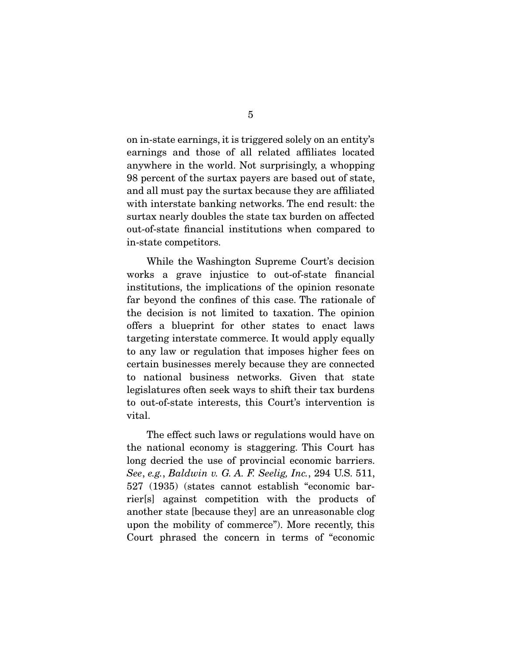on in-state earnings, it is triggered solely on an entity's earnings and those of all related affiliates located anywhere in the world. Not surprisingly, a whopping 98 percent of the surtax payers are based out of state, and all must pay the surtax because they are affiliated with interstate banking networks. The end result: the surtax nearly doubles the state tax burden on affected out-of-state financial institutions when compared to in-state competitors.

 While the Washington Supreme Court's decision works a grave injustice to out-of-state financial institutions, the implications of the opinion resonate far beyond the confines of this case. The rationale of the decision is not limited to taxation. The opinion offers a blueprint for other states to enact laws targeting interstate commerce. It would apply equally to any law or regulation that imposes higher fees on certain businesses merely because they are connected to national business networks. Given that state legislatures often seek ways to shift their tax burdens to out-of-state interests, this Court's intervention is vital.

 The effect such laws or regulations would have on the national economy is staggering. This Court has long decried the use of provincial economic barriers. See, e.g., Baldwin v. G. A. F. Seelig, Inc., 294 U.S. 511, 527 (1935) (states cannot establish "economic barrier[s] against competition with the products of another state [because they] are an unreasonable clog upon the mobility of commerce"). More recently, this Court phrased the concern in terms of "economic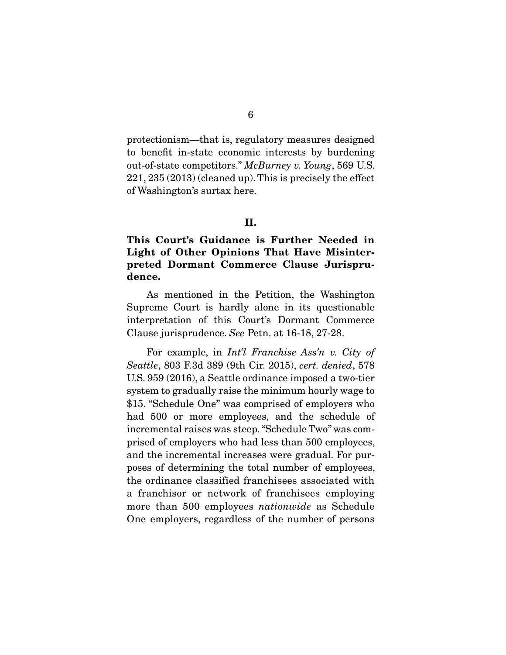protectionism—that is, regulatory measures designed to benefit in-state economic interests by burdening out-of-state competitors." McBurney v. Young, 569 U.S. 221, 235 (2013) (cleaned up). This is precisely the effect of Washington's surtax here.

### II.

### **Light of Other Opinions That Have Misinter-Light of Commerce Clause Jurismy preted Dormant Commerce Clause Jurisprudence.**

 As mentioned in the Petition, the Washington Supreme Court is hardly alone in its questionable interpretation of this Court's Dormant Commerce Clause jurisprudence. See Petn. at 16-18, 27-28.

 For example, in Int'l Franchise Ass'n v. City of Seattle, 803 F.3d 389 (9th Cir. 2015), cert. denied, 578 U.S. 959 (2016), a Seattle ordinance imposed a two-tier system to gradually raise the minimum hourly wage to \$15. "Schedule One" was comprised of employers who had 500 or more employees, and the schedule of incremental raises was steep. "Schedule Two" was comprised of employers who had less than 500 employees, and the incremental increases were gradual. For purposes of determining the total number of employees, the ordinance classified franchisees associated with a franchisor or network of franchisees employing more than 500 employees *nationwide* as Schedule One employers, regardless of the number of persons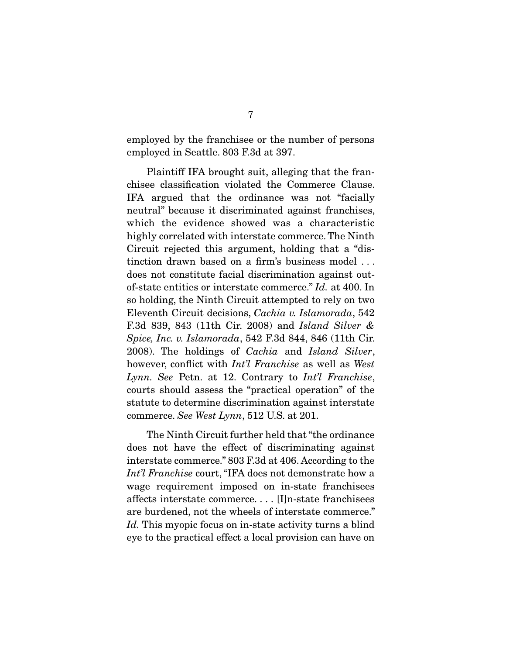employed by the franchisee or the number of persons employed in Seattle. 803 F.3d at 397.

 Plaintiff IFA brought suit, alleging that the franchisee classification violated the Commerce Clause. IFA argued that the ordinance was not "facially neutral" because it discriminated against franchises, which the evidence showed was a characteristic highly correlated with interstate commerce. The Ninth Circuit rejected this argument, holding that a "distinction drawn based on a firm's business model . . . does not constitute facial discrimination against outof-state entities or interstate commerce." Id. at 400. In so holding, the Ninth Circuit attempted to rely on two Eleventh Circuit decisions, Cachia v. Islamorada, 542 F.3d 839, 843 (11th Cir. 2008) and Island Silver & Spice, Inc. v. Islamorada, 542 F.3d 844, 846 (11th Cir. 2008). The holdings of Cachia and Island Silver, however, conflict with *Int'l Franchise* as well as West Lynn. See Petn. at 12. Contrary to  $Int'l$  Franchise, courts should assess the "practical operation" of the statute to determine discrimination against interstate commerce. See West Lynn, 512 U.S. at 201.

 The Ninth Circuit further held that "the ordinance does not have the effect of discriminating against interstate commerce." 803 F.3d at 406. According to the Int'l Franchise court, "IFA does not demonstrate how a wage requirement imposed on in-state franchisees affects interstate commerce. . . . [I]n-state franchisees are burdened, not the wheels of interstate commerce." Id. This myopic focus on in-state activity turns a blind eye to the practical effect a local provision can have on